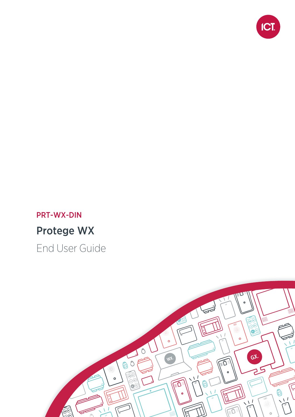

# PRT-WX-DIN Protege WX

End User Guide

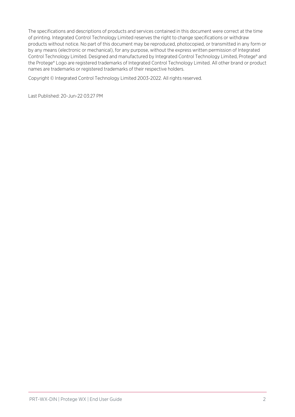The specifications and descriptions of products and services contained in this document were correct at the time of printing. Integrated Control Technology Limited reserves the right to change specifications or withdraw products without notice. No part of this document may be reproduced, photocopied, or transmitted in any form or by any means (electronic or mechanical), for any purpose, without the express written permission of Integrated Control Technology Limited. Designed and manufactured by Integrated Control Technology Limited, Protege® and the Protege® Logo are registered trademarks of Integrated Control Technology Limited. All other brand or product names are trademarks or registered trademarks of their respective holders.

Copyright © Integrated Control Technology Limited 2003-2022. All rights reserved.

Last Published: 20-Jun-22 03:27 PM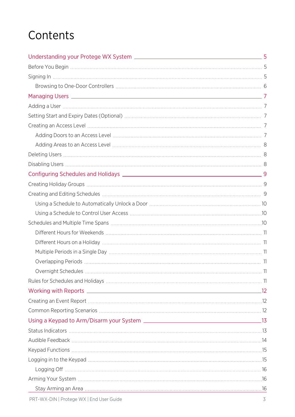# **Contents**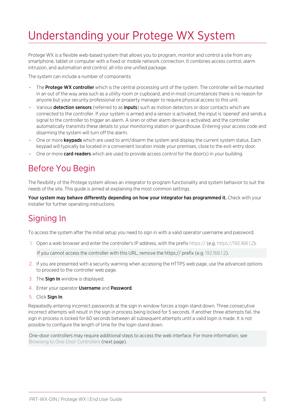# <span id="page-4-0"></span>Understanding your Protege WX System

Protege WX is a flexible web-based system that allows you to program, monitor and control a site from any smartphone, tablet or computer with a fixed or mobile network connection. It combines access control, alarm intrusion, and automation and control, all into one unified package.

The system can include a number of components:

- The **Protege WX controller** which is the central processing unit of the system. The controller will be mounted in an out of the way area such as a utility room or cupboard, and in most circumstances there is no reason for anyone but your security professional or property manager to require physical access to this unit.
- Various **detection sensors** (referred to as *inputs*) such as motion detectors or door contacts which are connected to the controller. If your system is armed and a sensor is activated, the input is 'opened' and sends a signal to the controller to trigger an alarm. A siren or other alarm device is activated, and the controller automatically transmits these details to your monitoring station or guardhouse. Entering your access code and disarming the system will turn off the alarm.
- One or more **keypads** which are used to arm/disarm the system and display the current system status. Each keypad will typically be located in a convenient location inside your premises, close to the exit-entry door.
- <span id="page-4-1"></span>• One or more **card readers** which are used to provide access control for the door(s) in your building.

### Before You Begin

The flexibility of the Protege system allows an integrator to program functionality and system behavior to suit the needs of the site. This guide is aimed at explaining the most common settings.

<span id="page-4-2"></span>Your system may behave differently depending on how your integrator has programmed it. Check with your installer for further operating instructions.

## Signing In

To access the system after the initial setup you need to sign in with a valid operator username and password.

1. Open a web browser and enter the controller's IP address, with the prefix https:// (e.g. https://192.168.1.2).

If you cannot access the controller with this URL, remove the https:// prefix (e.g. 192.168.1.2).

- 2. If you are presented with a security warning when accessing the HTTPS web page, use the advanced options to proceed to the controller web page.
- 3. The **Sign In** window is displayed.
- 4. Enter your operator Username and Password.
- 5. Click Sign In.

Repeatedly entering incorrect passwords at the sign in window forces a login stand down. Three consecutive incorrect attempts will result in the sign in process being locked for 5 seconds. If another three attempts fail, the sign in process is locked for 60 seconds between all subsequent attempts until a valid login is made. It is not possible to configure the length of time for the login stand down.

One-door controllers may require additional steps to access the web interface. For more [information,](#page-5-0) see Browsing to One-Door [Controllers](#page-5-0) (next page).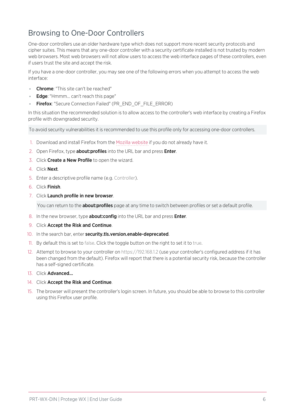### <span id="page-5-0"></span>Browsing to One-Door Controllers

One-door controllers use an older hardware type which does not support more recent security protocols and cipher suites. This means that any one-door controller with a security certificate installed is not trusted by modern web browsers. Most web browsers will not allow users to access the web interface pages of these controllers, even if users trust the site and accept the risk.

If you have a one-door controller, you may see one of the following errors when you attempt to access the web interface:

- Chrome: "This site can't be reached"
- **Edge:** "Hmmm... can't reach this page"
- Firefox: "Secure Connection Failed" (PR\_END\_OF\_FILE\_ERROR)

In this situation the recommended solution is to allow access to the controller's web interface by creating a Firefox profile with downgraded security.

To avoid security vulnerabilities it is recommended to use this profile only for accessing one-door controllers.

- 1. Download and install Firefox from the Mozilla [website](https://www.mozilla.org/en-US/firefox/new/) if you do not already have it.
- 2. Open Firefox, type **about:profiles** into the URL bar and press **Enter**.
- 3. Click Create a New Profile to open the wizard.
- 4. Click Next.
- 5. Enter a descriptive profile name (e.g. Controller).
- 6. Click Finish.
- 7. Click Launch profile in new browser.

You can return to the **about:profiles** page at any time to switch between profiles or set a default profile.

- 8. In the new browser, type **about: config** into the URL bar and press **Enter**.
- 9. Click Accept the Risk and Continue.
- 10. In the search bar, enter security.tls.version.enable-deprecated.
- 11. By default this is set to false. Click the toggle button on the right to set it to true.
- 12. Attempt to browse to your controller on https://192.168.1.2 (use your controller's configured address if it has been changed from the default). Firefox will report that there is a potential security risk, because the controller has a self-signed certificate.
- 13. Click Advanced...
- 14. Click Accept the Risk and Continue.
- 15. The browser will present the controller's login screen. In future, you should be able to browse to this controller using this Firefox user profile.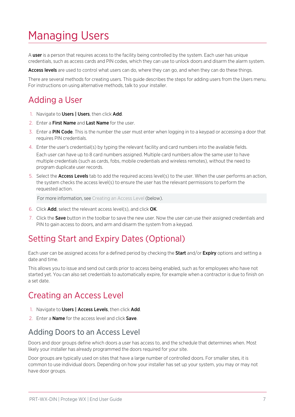# <span id="page-6-0"></span>Managing Users

A user is a person that requires access to the facility being controlled by the system. Each user has unique credentials, such as access cards and PIN codes, which they can use to unlock doors and disarm the alarm system.

Access levels are used to control what users can do, where they can go, and when they can do these things.

<span id="page-6-1"></span>There are several methods for creating users. This guide describes the steps for adding users from the Users menu. For instructions on using alternative methods, talk to your installer.

# Adding a User

- 1. Navigate to Users | Users, then click Add.
- 2. Enter a First Name and Last Name for the user.
- 3. Enter a PIN Code. This is the number the user must enter when logging in to a keypad or accessing a door that requires PIN credentials.
- 4. Enter the user's credential(s) by typing the relevant facility and card numbers into the available fields. Each user can have up to 8 card numbers assigned. Multiple card numbers allow the same user to have multiple credentials (such as cards, fobs, mobile credentials and wireless remotes), without the need to program duplicate user records.
- 5. Select the **Access Levels** tab to add the required access level(s) to the user. When the user performs an action, the system checks the access level(s) to ensure the user has the relevant permissions to perform the requested action.

For more [information,](#page-6-3) see Creating an Access Level (below).

- 6. Click Add, select the relevant access level(s), and click OK.
- <span id="page-6-2"></span>7. Click the **Save** button in the toolbar to save the new user. Now the user can use their assigned credentials and PIN to gain access to doors, and arm and disarm the system from a keypad.

## Setting Start and Expiry Dates (Optional)

Each user can be assigned access for a defined period by checking the **Start** and/or **Expiry** options and setting a date and time.

This allows you to issue and send out cards prior to access being enabled, such as for employees who have not started yet. You can also set credentials to automatically expire, for example when a contractor is due to finish on a set date.

## <span id="page-6-3"></span>Creating an Access Level

- 1. Navigate to Users | Access Levels, then click Add.
- <span id="page-6-4"></span>2. Enter a **Name** for the access level and click **Save**.

### Adding Doors to an Access Level

Doors and door groups define which doors a user has access to, and the schedule that determines when. Most likely your installer has already programmed the doors required for your site.

Door groups are typically used on sites that have a large number of controlled doors. For smaller sites, it is common to use individual doors. Depending on how your installer has set up your system, you may or may not have door groups.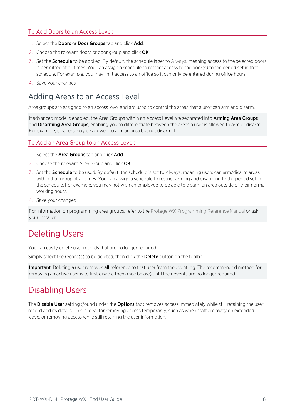#### To Add Doors to an Access Level:

- 1. Select the **Doors** or **Door Groups** tab and click **Add**.
- 2. Choose the relevant doors or door group and click OK.
- 3. Set the **Schedule** to be applied. By default, the schedule is set to Always, meaning access to the selected doors is permitted at all times. You can assign a schedule to restrict access to the door(s) to the period set in that schedule. For example, you may limit access to an office so it can only be entered during office hours.
- <span id="page-7-0"></span>4. Save your changes.

### Adding Areas to an Access Level

Area groups are assigned to an access level and are used to control the areas that a user can arm and disarm.

If advanced mode is enabled, the Area Groups within an Access Level are separated into Arming Area Groups and **Disarming Area Groups**, enabling you to differentiate between the areas a user is allowed to arm or disarm. For example, cleaners may be allowed to arm an area but not disarm it.

#### To Add an Area Group to an Access Level:

- 1. Select the **Area Groups** tab and click **Add**.
- 2. Choose the relevant Area Group and click OK.
- 3. Set the **Schedule** to be used. By default, the schedule is set to Always, meaning users can arm/disarm areas within that group at all times. You can assign a schedule to restrict arming and disarming to the period set in the schedule. For example, you may not wish an employee to be able to disarm an area outside of their normal working hours.
- 4. Save your changes.

<span id="page-7-1"></span>For information on programming area groups, refer to the Protege WX Programming Reference Manual or ask your installer.

## Deleting Users

You can easily delete user records that are no longer required.

Simply select the record(s) to be deleted, then click the Delete button on the toolbar.

<span id="page-7-2"></span>Important: Deleting a user removes all reference to that user from the event log. The recommended method for removing an active user is to first disable them (see below) until their events are no longer required.

# Disabling Users

The **Disable User** setting (found under the **Options** tab) removes access immediately while still retaining the user record and its details. This is ideal for removing access temporarily, such as when staff are away on extended leave, or removing access while still retaining the user information.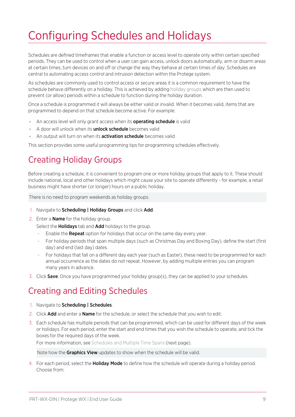# <span id="page-8-0"></span>Configuring Schedules and Holidays

Schedules are defined timeframes that enable a function or access level to operate only within certain specified periods. They can be used to control when a user can gain access, unlock doors automatically, arm or disarm areas at certain times, turn devices on and off or change the way they behave at certain times of day. Schedules are central to automating access control and intrusion detection within the Protege system.

As schedules are commonly used to control access or secure areas it is a common requirement to have the schedule behave differently on a holiday. This is achieved by adding holiday groups which are then used to prevent (or allow) periods within a schedule to function during the holiday duration.

Once a schedule is programmed it will always be either valid or invalid. When it becomes valid, items that are programmed to depend on that schedule become active. For example:

- . An access level will only grant access when its **operating schedule** is valid
- A door will unlock when its **unlock schedule** becomes valid
- **An output will turn on when its activation schedule** becomes valid

<span id="page-8-1"></span>This section provides some useful programming tips for programming schedules effectively.

# Creating Holiday Groups

Before creating a schedule, it is convenient to program one or more holiday groups that apply to it. These should include national, local and other holidays which might cause your site to operate differently - for example, a retail business might have shorter (or longer) hours on a public holiday.

There is no need to program weekends as holiday groups.

- 1. Navigate to **Scheduling | Holiday Groups** and click Add.
- 2. Enter a **Name** for the holiday group.

Select the **Holidays** tab and **Add** holidays to the group.

- Enable the Repeat option for holidays that occur on the same day every year.
- For holiday periods that span multiple days (such as Christmas Day and Boxing Day), define the start (first day) and end (last day) dates.
- For holidays that fall on a different day each year (such as Easter), these need to be programmed for each annual occurrence as the dates do not repeat. However, by adding multiple entries you can program many years in advance.
- <span id="page-8-2"></span>3. Click Save. Once you have programmed your holiday group(s), they can be applied to your schedules.

# Creating and Editing Schedules

- 1. Navigate to Scheduling | Schedules.
- 2. Click **Add** and enter a **Name** for the schedule, or select the schedule that you wish to edit.
- 3. Each schedule has multiple periods that can be programmed, which can be used for different days of the week or holidays. For each period, enter the start and end times that you wish the schedule to operate, and tick the boxes for the required days of the week.

For more [information,](#page-9-2) see Schedules and Multiple Time Spans (next page).

Note how the Graphics View updates to show when the schedule will be valid.

4. For each period, select the **Holiday Mode** to define how the schedule will operate during a holiday period. Choose from: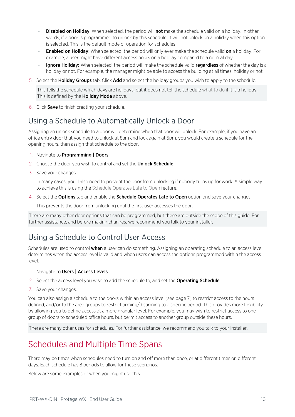- Disabled on Holiday: When selected, the period will not make the schedule valid on a holiday. In other words, if a door is programmed to unlock by this schedule, it will not unlock on a holiday when this option is selected. This is the default mode of operation for schedules
- **Enabled on Holiday**: When selected, the period will only ever make the schedule valid on a holiday. For example, a user might have different access hours on a holiday compared to a normal day.
- Ignore Holiday: When selected, the period will make the schedule valid regardless of whether the day is a holiday or not. For example, the manager might be able to access the building at all times, holiday or not.
- 5. Select the Holiday Groups tab. Click Add and select the holiday groups you wish to apply to the schedule.

This tells the schedule which days are holidays, but it does not tell the schedule what to do if it is a holiday. This is defined by the **Holiday Mode** above.

<span id="page-9-0"></span>6. Click Save to finish creating your schedule.

### Using a Schedule to Automatically Unlock a Door

Assigning an unlock schedule to a door will determine when that door will unlock. For example, if you have an office entry door that you need to unlock at 8am and lock again at 5pm, you would create a schedule for the opening hours, then assign that schedule to the door.

- 1. Navigate to **Programming | Doors**.
- 2. Choose the door you wish to control and set the **Unlock Schedule**.
- 3. Save your changes.

In many cases, you'll also need to prevent the door from unlocking if nobody turns up for work. A simple way to achieve this is using the Schedule Operates Late to Open feature.

4. Select the **Options** tab and enable the **Schedule Operates Late to Open** option and save your changes.

This prevents the door from unlocking until the first user accesses the door.

<span id="page-9-1"></span>There are many other door options that can be programmed, but these are outside the scope of this guide. For further assistance, and before making changes, we recommend you talk to your installer.

### Using a Schedule to Control User Access

Schedules are used to control **when** a user can do something. Assigning an operating schedule to an access level determines when the access level is valid and when users can access the options programmed within the access level.

- 1. Navigate to Users | Access Levels.
- 2. Select the access level you wish to add the schedule to, and set the Operating Schedule.
- 3. Save your changes.

You can also assign a schedule to the doors within an access level (see [page 7\)](#page-6-4) to restrict access to the hours defined, and/or to the area groups to restrict arming/disarming to a specific period. This provides more flexibility by allowing you to define access at a more granular level. For example, you may wish to restrict access to one group of doors to scheduled office hours, but permit access to another group outside these hours.

<span id="page-9-2"></span>There are many other uses for schedules. For further assistance, we recommend you talk to your installer.

## Schedules and Multiple Time Spans

There may be times when schedules need to turn on and off more than once, or at different times on different days. Each schedule has 8 periods to allow for these scenarios.

Below are some examples of when you might use this.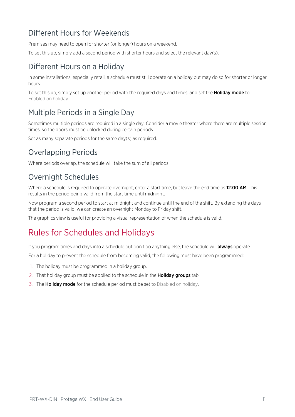### <span id="page-10-0"></span>Different Hours for Weekends

Premises may need to open for shorter (or longer) hours on a weekend.

<span id="page-10-1"></span>To set this up, simply add a second period with shorter hours and select the relevant day(s).

### Different Hours on a Holiday

In some installations, especially retail, a schedule must still operate on a holiday but may do so for shorter or longer hours.

<span id="page-10-2"></span>To set this up, simply set up another period with the required days and times, and set the **Holiday mode** to Enabled on holiday.

### Multiple Periods in a Single Day

Sometimes multiple periods are required in a single day. Consider a movie theater where there are multiple session times, so the doors must be unlocked during certain periods.

<span id="page-10-3"></span>Set as many separate periods for the same day(s) as required.

### Overlapping Periods

<span id="page-10-4"></span>Where periods overlap, the schedule will take the sum of all periods.

### Overnight Schedules

Where a schedule is required to operate overnight, enter a start time, but leave the end time as 12:00 AM. This results in the period being valid from the start time until midnight.

Now program a second period to start at midnight and continue until the end of the shift. By extending the days that the period is valid, we can create an overnight Monday to Friday shift.

<span id="page-10-5"></span>The graphics view is useful for providing a visual representation of when the schedule is valid.

## Rules for Schedules and Holidays

If you program times and days into a schedule but don't do anything else, the schedule will **always** operate.

For a holiday to prevent the schedule from becoming valid, the following must have been programmed:

- 1. The holiday must be programmed in a holiday group.
- 2. That holiday group must be applied to the schedule in the **Holiday groups** tab.
- 3. The **Holiday mode** for the schedule period must be set to Disabled on holiday.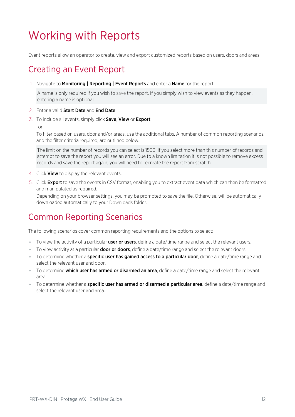# <span id="page-11-0"></span>Working with Reports

<span id="page-11-1"></span>Event reports allow an operator to create, view and export customized reports based on users, doors and areas.

# Creating an Event Report

1. Navigate to Monitoring | Reporting | Event Reports and enter a Name for the report.

A name is only required if you wish to save the report. If you simply wish to view events as they happen, entering a name is optional.

- 2. Enter a valid Start Date and End Date.
- 3. To include all events, simply click Save, View or Export.
	- -or-

To filter based on users, door and/or areas, use the additional tabs. A number of common reporting scenarios, and the filter criteria required, are outlined below.

The limit on the number of records you can select is 1500. If you select more than this number of records and attempt to save the report you will see an error. Due to a known limitation it is not possible to remove excess records and save the report again; you will need to recreate the report from scratch.

- 4. Click **View** to display the relevant events.
- 5. Click Export to save the events in CSV format, enabling you to extract event data which can then be formatted and manipulated as required.

<span id="page-11-2"></span>Depending on your browser settings, you may be prompted to save the file. Otherwise, will be automatically downloaded automatically to your Downloads folder.

## Common Reporting Scenarios

The following scenarios cover common reporting requirements and the options to select:

- To view the activity of a particular **user or users**, define a date/time range and select the relevant users.
- To view activity at a particular **door or doors**, define a date/time range and select the relevant doors.
- To determine whether a **specific user has gained access to a particular door**, define a date/time range and select the relevant user and door.
- **To determine which user has armed or disarmed an area**, define a date/time range and select the relevant area.
- To determine whether a specific user has armed or disarmed a particular area, define a date/time range and select the relevant user and area.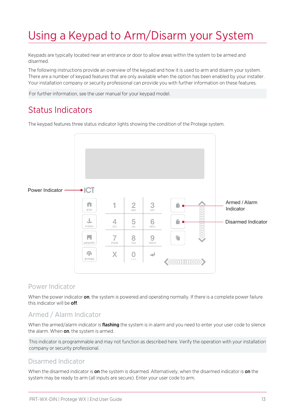# <span id="page-12-0"></span>Using a Keypad to Arm/Disarm your System

Keypads are typically located near an entrance or door to allow areas within the system to be armed and disarmed.

The following instructions provide an overview of the keypad and how it is used to arm and disarm your system. There are a number of keypad features that are only available when the option has been enabled by your installer. Your installation company or security professional can provide you with further information on these features.

<span id="page-12-1"></span>For further information, see the user manual for your keypad model.

## Status Indicators

The keypad features three status indicator lights showing the condition of the Protege system.



#### Power Indicator

When the power indicator on, the system is powered and operating normally. If there is a complete power failure this indicator will be **off**.

### Armed / Alarm Indicator

When the armed/alarm indicator is *flashing* the system is in alarm and you need to enter your user code to silence the alarm. When on, the system is armed.

This indicator is programmable and may not function as described here. Verify the operation with your installation company or security professional.

#### Disarmed Indicator

When the disarmed indicator is on the system is disarmed. Alternatively, when the disarmed indicator is on the system may be ready to arm (all inputs are secure). Enter your user code to arm.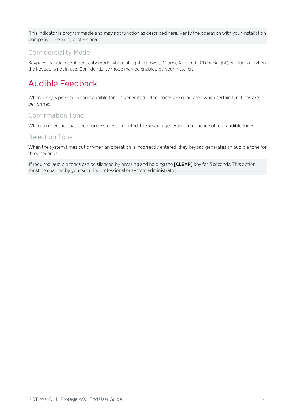This indicator is programmable and may not function as described here. Verify the operation with your installation company or security professional.

### Confidentiality Mode

<span id="page-13-0"></span>Keypads include a confidentiality mode where all lights (Power, Disarm, Arm and LCD backlight) will turn off when the keypad is not in use. Confidentiality mode may be enabled by your installer.

# Audible Feedback

When a key is pressed, a short audible tone is generated. Other tones are generated when certain functions are performed.

### Confirmation Tone

When an operation has been successfully completed, the keypad generates a sequence of four audible tones.

#### Rejection Tone

When the system times out or when an operation is incorrectly entered, they keypad generates an audible tone for three seconds.

If required, audible tones can be silenced by pressing and holding the [CLEAR] key for 3 seconds. This option must be enabled by your security professional or system administrator.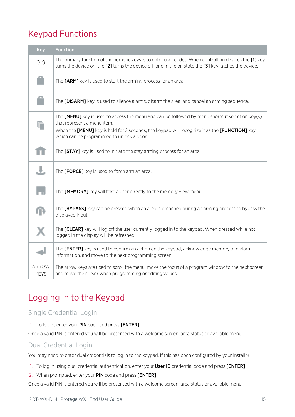# <span id="page-14-0"></span>Keypad Functions

| Key                  | <b>Function</b>                                                                                                                                                                                                 |
|----------------------|-----------------------------------------------------------------------------------------------------------------------------------------------------------------------------------------------------------------|
| $O - 9$              | The primary function of the numeric keys is to enter user codes. When controlling devices the [1] key<br>turns the device on, the [2] turns the device off, and in the on state the [3] key latches the device. |
|                      | The [ARM] key is used to start the arming process for an area.                                                                                                                                                  |
|                      | The [DISARM] key is used to silence alarms, disarm the area, and cancel an arming sequence.                                                                                                                     |
|                      | The $[MEMU]$ key is used to access the menu and can be followed by menu shortcut selection key(s)<br>that represent a menu item.                                                                                |
|                      | When the [MENU] key is held for 2 seconds, the keypad will recognize it as the [FUNCTION] key,<br>which can be programmed to unlock a door.                                                                     |
|                      | The [STAY] key is used to initiate the stay arming process for an area.                                                                                                                                         |
|                      | The [FORCE] key is used to force arm an area.                                                                                                                                                                   |
|                      | The [MEMORY] key will take a user directly to the memory view menu.                                                                                                                                             |
|                      | The [BYPASS] key can be pressed when an area is breached during an arming process to bypass the<br>displayed input.                                                                                             |
|                      | The <b>[CLEAR]</b> key will log off the user currently logged in to the keypad. When pressed while not<br>logged in the display will be refreshed.                                                              |
|                      | The [ENTER] key is used to confirm an action on the keypad, acknowledge memory and alarm<br>information, and move to the next programming screen.                                                               |
| ARROW<br><b>KEYS</b> | The arrow keys are used to scroll the menu, move the focus of a program window to the next screen,<br>and move the cursor when programming or editing values.                                                   |

# <span id="page-14-1"></span>Logging in to the Keypad

### Single Credential Login

#### 1. To log in, enter your PIN code and press [ENTER].

Once a valid PIN is entered you will be presented with a welcome screen, area status or available menu.

#### Dual Credential Login

You may need to enter dual credentials to log in to the keypad, if this has been configured by your installer.

- 1. To log in using dual credential authentication, enter your User ID credential code and press [ENTER].
- 2. When prompted, enter your PIN code and press [ENTER].

Once a valid PIN is entered you will be presented with a welcome screen, area status or available menu.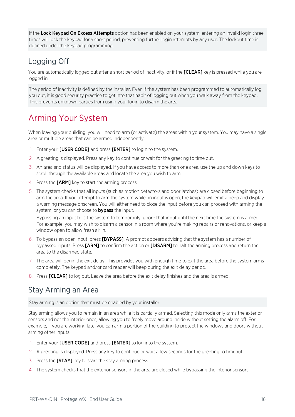If the Lock Keypad On Excess Attempts option has been enabled on your system, entering an invalid login three times will lock the keypad for a short period, preventing further login attempts by any user. The lockout time is defined under the keypad programming.

### <span id="page-15-0"></span>Logging Off

You are automatically logged out after a short period of inactivity, or if the **[CLEAR]** key is pressed while you are logged in.

The period of inactivity is defined by the installer. Even if the system has been programmed to automatically log you out, it is good security practice to get into that habit of logging out when you walk away from the keypad. This prevents unknown parties from using your login to disarm the area.

# <span id="page-15-1"></span>Arming Your System

When leaving your building, you will need to arm (or activate) the areas within your system. You may have a single area or multiple areas that can be armed independently.

- 1. Enter your **[USER CODE]** and press **[ENTER]** to login to the system.
- 2. A greeting is displayed. Press any key to continue or wait for the greeting to time out.
- 3. An area and status will be displayed. If you have access to more than one area, use the up and down keys to scroll through the available areas and locate the area you wish to arm.
- 4. Press the **[ARM]** key to start the arming process.
- 5. The system checks that all inputs (such as motion detectors and door latches) are closed before beginning to arm the area. If you attempt to arm the system while an input is open, the keypad will emit a beep and display a warning message onscreen. You will either need to close the input before you can proceed with arming the system, or you can choose to **bypass** the input.

Bypassing an input tells the system to temporarily ignore that input until the next time the system is armed. For example, you may wish to disarm a sensor in a room where you're making repairs or renovations, or keep a window open to allow fresh air in.

- 6. To bypass an open input, press [BYPASS]. A prompt appears advising that the system has a number of bypassed inputs. Press [ARM] to confirm the action or [DISARM] to halt the arming process and return the area to the disarmed state.
- 7. The area will begin the exit delay. This provides you with enough time to exit the area before the system arms completely. The keypad and/or card reader will beep during the exit delay period.
- <span id="page-15-2"></span>8. Press [CLEAR] to log out. Leave the area before the exit delay finishes and the area is armed.

### Stay Arming an Area

Stay arming is an option that must be enabled by your installer.

Stay arming allows you to remain in an area while it is partially armed. Selecting this mode only arms the exterior sensors and not the interior ones, allowing you to freely move around inside without setting the alarm off. For example, if you are working late, you can arm a portion of the building to protect the windows and doors without arming other inputs.

- 1. Enter your [USER CODE] and press [ENTER] to log into the system.
- 2. A greeting is displayed. Press any key to continue or wait a few seconds for the greeting to timeout.
- 3. Press the **[STAY]** key to start the stay arming process.
- 4. The system checks that the exterior sensors in the area are closed while bypassing the interior sensors.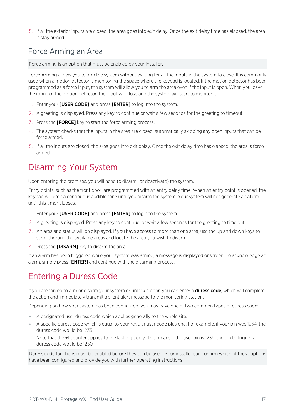<span id="page-16-0"></span>5. If all the exterior inputs are closed, the area goes into exit delay. Once the exit delay time has elapsed, the area is stay armed.

## Force Arming an Area

Force arming is an option that must be enabled by your installer.

Force Arming allows you to arm the system without waiting for all the inputs in the system to close. It is commonly used when a motion detector is monitoring the space where the keypad is located. If the motion detector has been programmed as a force input, the system will allow you to arm the area even if the input is open. When you leave the range of the motion detector, the input will close and the system will start to monitor it.

- 1. Enter your [USER CODE] and press [ENTER] to log into the system.
- 2. A greeting is displayed. Press any key to continue or wait a few seconds for the greeting to timeout.
- 3. Press the [FORCE] key to start the force arming process.
- 4. The system checks that the inputs in the area are closed, automatically skipping any open inputs that can be force armed.
- <span id="page-16-1"></span>5. If all the inputs are closed, the area goes into exit delay. Once the exit delay time has elapsed, the area is force armed.

# Disarming Your System

Upon entering the premises, you will need to disarm (or deactivate) the system.

Entry points, such as the front door, are programmed with an entry delay time. When an entry point is opened, the keypad will emit a continuous audible tone until you disarm the system. Your system will not generate an alarm until this timer elapses.

- 1. Enter your [USER CODE] and press [ENTER] to login to the system.
- 2. A greeting is displayed. Press any key to continue, or wait a few seconds for the greeting to time out.
- 3. An area and status will be displayed. If you have access to more than one area, use the up and down keys to scroll through the available areas and locate the area you wish to disarm.
- 4. Press the [DISARM] key to disarm the area.

<span id="page-16-2"></span>If an alarm has been triggered while your system was armed, a message is displayed onscreen. To acknowledge an alarm, simply press [ENTER] and continue with the disarming process.

# Entering a Duress Code

If you are forced to arm or disarm your system or unlock a door, you can enter a **duress code**, which will complete the action and immediately transmit a silent alert message to the monitoring station.

Depending on how your system has been configured, you may have one of two common types of duress code:

- ⦁ A designated user duress code which applies generally to the whole site.
- ⦁ A specific duress code which is equal to your regular user code plus one. For example, if your pin was 1234, the duress code would be 1235.

Note that the +1 counter applies to the last digit only. This means if the user pin is 1239, the pin to trigger a duress code would be 1230.

Duress code functions must be enabled before they can be used. Your installer can confirm which of these options have been configured and provide you with further operating instructions.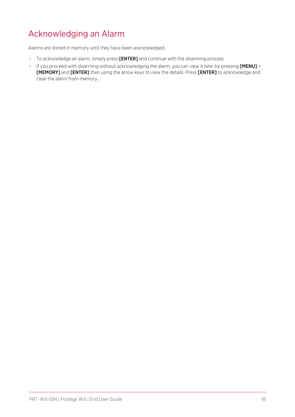# <span id="page-17-0"></span>Acknowledging an Alarm

Alarms are stored in memory until they have been acknowledged.

- ⦁ To acknowledge an alarm, simply press [ENTER] and continue with the disarming process.
- ⦁ If you proceed with disarming without acknowledging the alarm, you can view it later by pressing [MENU] + [MEMORY] and [ENTER] then using the arrow keys to view the details. Press [ENTER] to acknowledge and clear the alarm from memory.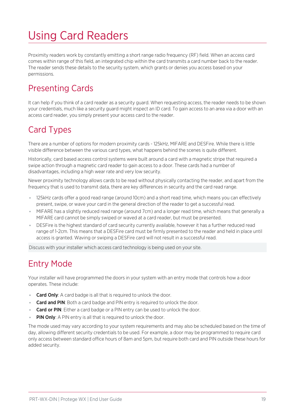# <span id="page-18-0"></span>Using Card Readers

Proximity readers work by constantly emitting a short range radio frequency (RF) field. When an access card comes within range of this field, an integrated chip within the card transmits a card number back to the reader. The reader sends these details to the security system, which grants or denies you access based on your permissions.

# <span id="page-18-1"></span>Presenting Cards

It can help if you think of a card reader as a security guard. When requesting access, the reader needs to be shown your credentials, much like a security guard might inspect an ID card. To gain access to an area via a door with an access card reader, you simply present your access card to the reader.

## <span id="page-18-2"></span>Card Types

There are a number of options for modern proximity cards - 125kHz, MIFARE and DESFire. While there is little visible difference between the various card types, what happens behind the scenes is quite different.

Historically, card based access control systems were built around a card with a magnetic stripe that required a swipe action through a magnetic card reader to gain access to a door. These cards had a number of disadvantages, including a high wear rate and very low security.

Newer proximity technology allows cards to be read without physically contacting the reader, and apart from the frequency that is used to transmit data, there are key differences in security and the card read range.

- ⦁ 125kHz cards offer a good read range (around 10cm) and a short read time, which means you can effectively present, swipe, or wave your card in the general direction of the reader to get a successful read.
- ⦁ MIFARE has a slightly reduced read range (around 7cm) and a longer read time, which means that generally a MIFARE card cannot be simply swiped or waved at a card reader, but must be presented.
- ⦁ DESFire is the highest standard of card security currently available, however it has a further reduced read range of 1-2cm. This means that a DESFire card must be firmly presented to the reader and held in place until access is granted. Waving or swiping a DESFire card will not result in a successful read.

<span id="page-18-3"></span>Discuss with your installer which access card technology is being used on your site.

# Entry Mode

Your installer will have programmed the doors in your system with an entry mode that controls how a door operates. These include:

- Card Only: A card badge is all that is required to unlock the door.
- **Card and PIN:** Both a card badge and PIN entry is required to unlock the door.
- **Card or PIN:** Either a card badge or a PIN entry can be used to unlock the door.
- **PIN Only:** A PIN entry is all that is required to unlock the door.

The mode used may vary according to your system requirements and may also be scheduled based on the time of day, allowing different security credentials to be used. For example, a door may be programmed to require card only access between standard office hours of 8am and 5pm, but require both card and PIN outside these hours for added security.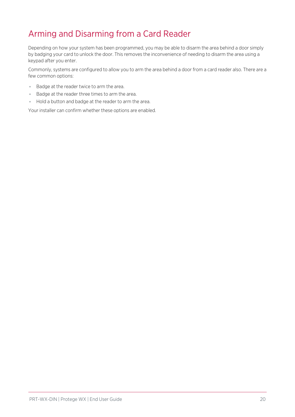# <span id="page-19-0"></span>Arming and Disarming from a Card Reader

Depending on how your system has been programmed, you may be able to disarm the area behind a door simply by badging your card to unlock the door. This removes the inconvenience of needing to disarm the area using a keypad after you enter.

Commonly, systems are configured to allow you to arm the area behind a door from a card reader also. There are a few common options:

- ⦁ Badge at the reader twice to arm the area.
- ⦁ Badge at the reader three times to arm the area.
- ⦁ Hold a button and badge at the reader to arm the area.

Your installer can confirm whether these options are enabled.